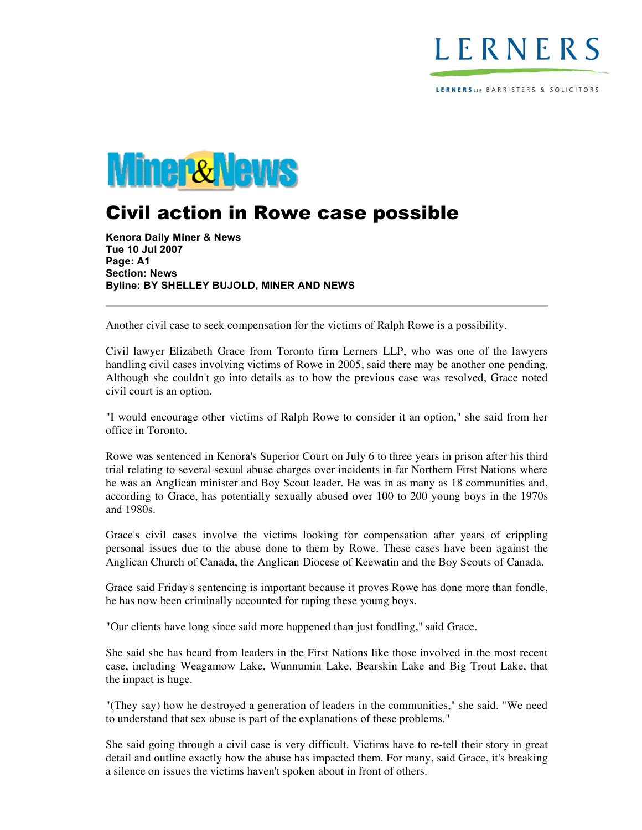

LERNERSLLP BARRISTERS & SOLICITORS



## Civil action in Rowe case possible

**Kenora Daily Miner & News Tue 10 Jul 2007 Page: A1 Section: News Byline: BY SHELLEY BUJOLD, MINER AND NEWS**

Another civil case to seek compensation for the victims of Ralph Rowe is a possibility.

Civil lawyer Elizabeth Grace from Toronto firm Lerners LLP, who was one of the lawyers handling civil cases involving victims of Rowe in 2005, said there may be another one pending. Although she couldn't go into details as to how the previous case was resolved, Grace noted civil court is an option.

"I would encourage other victims of Ralph Rowe to consider it an option," she said from her office in Toronto.

Rowe was sentenced in Kenora's Superior Court on July 6 to three years in prison after his third trial relating to several sexual abuse charges over incidents in far Northern First Nations where he was an Anglican minister and Boy Scout leader. He was in as many as 18 communities and, according to Grace, has potentially sexually abused over 100 to 200 young boys in the 1970s and 1980s.

Grace's civil cases involve the victims looking for compensation after years of crippling personal issues due to the abuse done to them by Rowe. These cases have been against the Anglican Church of Canada, the Anglican Diocese of Keewatin and the Boy Scouts of Canada.

Grace said Friday's sentencing is important because it proves Rowe has done more than fondle, he has now been criminally accounted for raping these young boys.

"Our clients have long since said more happened than just fondling," said Grace.

She said she has heard from leaders in the First Nations like those involved in the most recent case, including Weagamow Lake, Wunnumin Lake, Bearskin Lake and Big Trout Lake, that the impact is huge.

"(They say) how he destroyed a generation of leaders in the communities," she said. "We need to understand that sex abuse is part of the explanations of these problems."

She said going through a civil case is very difficult. Victims have to re-tell their story in great detail and outline exactly how the abuse has impacted them. For many, said Grace, it's breaking a silence on issues the victims haven't spoken about in front of others.